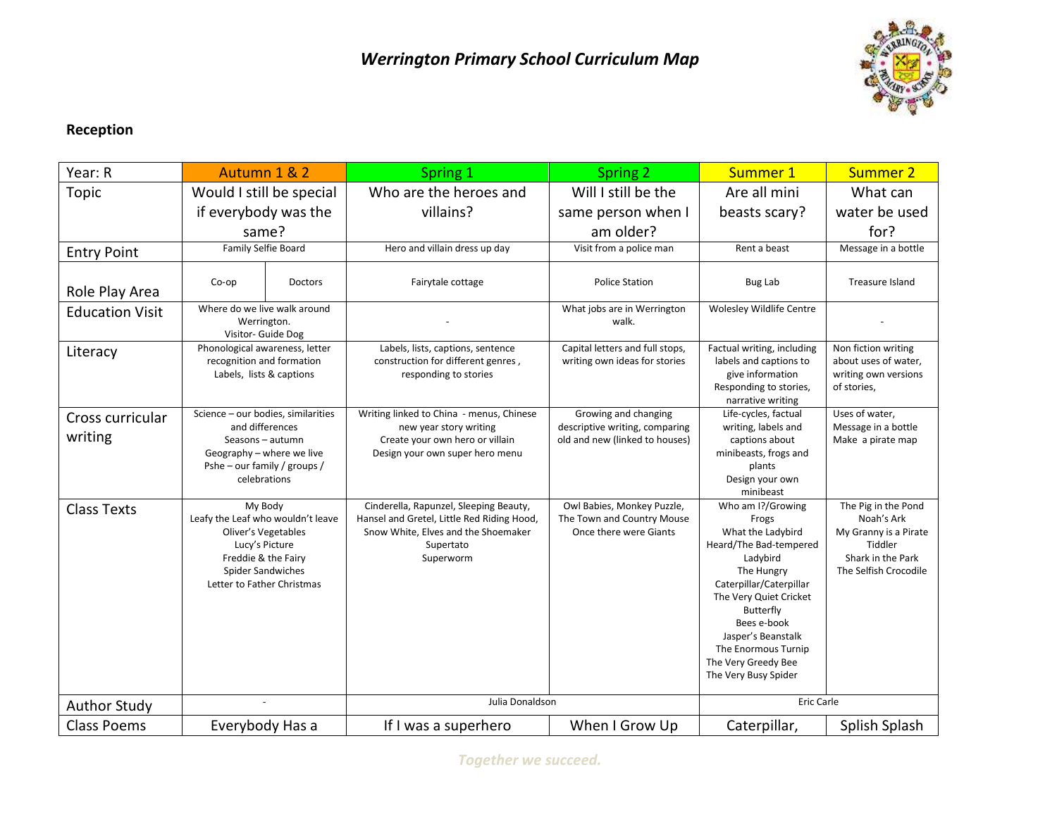

## **Reception**

| Year: R                     | Autumn 1 & 2                                                                                                                                                    |                | <b>Spring 1</b>                                                                                                                                       | <b>Spring 2</b>                                                                          | Summer 1                                                                                                                                                                                                                                                                         | <b>Summer 2</b>                                                                                                     |
|-----------------------------|-----------------------------------------------------------------------------------------------------------------------------------------------------------------|----------------|-------------------------------------------------------------------------------------------------------------------------------------------------------|------------------------------------------------------------------------------------------|----------------------------------------------------------------------------------------------------------------------------------------------------------------------------------------------------------------------------------------------------------------------------------|---------------------------------------------------------------------------------------------------------------------|
| Topic                       | Would I still be special                                                                                                                                        |                | Who are the heroes and                                                                                                                                | Will I still be the                                                                      | Are all mini                                                                                                                                                                                                                                                                     | What can                                                                                                            |
|                             | if everybody was the                                                                                                                                            |                | villains?                                                                                                                                             | same person when I                                                                       | beasts scary?                                                                                                                                                                                                                                                                    | water be used                                                                                                       |
|                             | same?                                                                                                                                                           |                |                                                                                                                                                       | am older?                                                                                |                                                                                                                                                                                                                                                                                  | for?                                                                                                                |
| <b>Entry Point</b>          | Family Selfie Board                                                                                                                                             |                | Hero and villain dress up day                                                                                                                         | Visit from a police man                                                                  | Rent a beast                                                                                                                                                                                                                                                                     | Message in a bottle                                                                                                 |
| Role Play Area              | Co-op                                                                                                                                                           | <b>Doctors</b> | Fairytale cottage                                                                                                                                     | <b>Police Station</b>                                                                    | Bug Lab                                                                                                                                                                                                                                                                          | Treasure Island                                                                                                     |
| <b>Education Visit</b>      | Where do we live walk around<br>Werrington.<br>Visitor- Guide Dog                                                                                               |                |                                                                                                                                                       | What jobs are in Werrington<br>walk.                                                     | Wolesley Wildlife Centre                                                                                                                                                                                                                                                         |                                                                                                                     |
| Literacy                    | Phonological awareness, letter<br>recognition and formation<br>Labels, lists & captions                                                                         |                | Labels, lists, captions, sentence<br>construction for different genres,<br>responding to stories                                                      | Capital letters and full stops,<br>writing own ideas for stories                         | Factual writing, including<br>labels and captions to<br>give information<br>Responding to stories,<br>narrative writing                                                                                                                                                          | Non fiction writing<br>about uses of water,<br>writing own versions<br>of stories,                                  |
| Cross curricular<br>writing | Science - our bodies, similarities<br>and differences<br>Seasons - autumn<br>Geography - where we live<br>Pshe - our family / groups /<br>celebrations          |                | Writing linked to China - menus, Chinese<br>new year story writing<br>Create your own hero or villain<br>Design your own super hero menu              | Growing and changing<br>descriptive writing, comparing<br>old and new (linked to houses) | Life-cycles, factual<br>writing, labels and<br>captions about<br>minibeasts, frogs and<br>plants<br>Design your own<br>minibeast                                                                                                                                                 | Uses of water,<br>Message in a bottle<br>Make a pirate map                                                          |
| <b>Class Texts</b>          | My Body<br>Leafy the Leaf who wouldn't leave<br>Oliver's Vegetables<br>Lucy's Picture<br>Freddie & the Fairy<br>Spider Sandwiches<br>Letter to Father Christmas |                | Cinderella, Rapunzel, Sleeping Beauty,<br>Hansel and Gretel, Little Red Riding Hood,<br>Snow White, Elves and the Shoemaker<br>Supertato<br>Superworm | Owl Babies, Monkey Puzzle,<br>The Town and Country Mouse<br>Once there were Giants       | Who am I?/Growing<br>Frogs<br>What the Ladybird<br>Heard/The Bad-tempered<br>Ladybird<br>The Hungry<br>Caterpillar/Caterpillar<br>The Very Quiet Cricket<br>Butterfly<br>Bees e-book<br>Jasper's Beanstalk<br>The Enormous Turnip<br>The Very Greedy Bee<br>The Very Busy Spider | The Pig in the Pond<br>Noah's Ark<br>My Granny is a Pirate<br>Tiddler<br>Shark in the Park<br>The Selfish Crocodile |
| <b>Author Study</b>         | Julia Donaldson<br>$\sim$                                                                                                                                       |                |                                                                                                                                                       | Eric Carle                                                                               |                                                                                                                                                                                                                                                                                  |                                                                                                                     |
| <b>Class Poems</b>          | Everybody Has a                                                                                                                                                 |                | If I was a superhero                                                                                                                                  | When I Grow Up                                                                           | Caterpillar,                                                                                                                                                                                                                                                                     | Splish Splash                                                                                                       |

*Together we succeed.*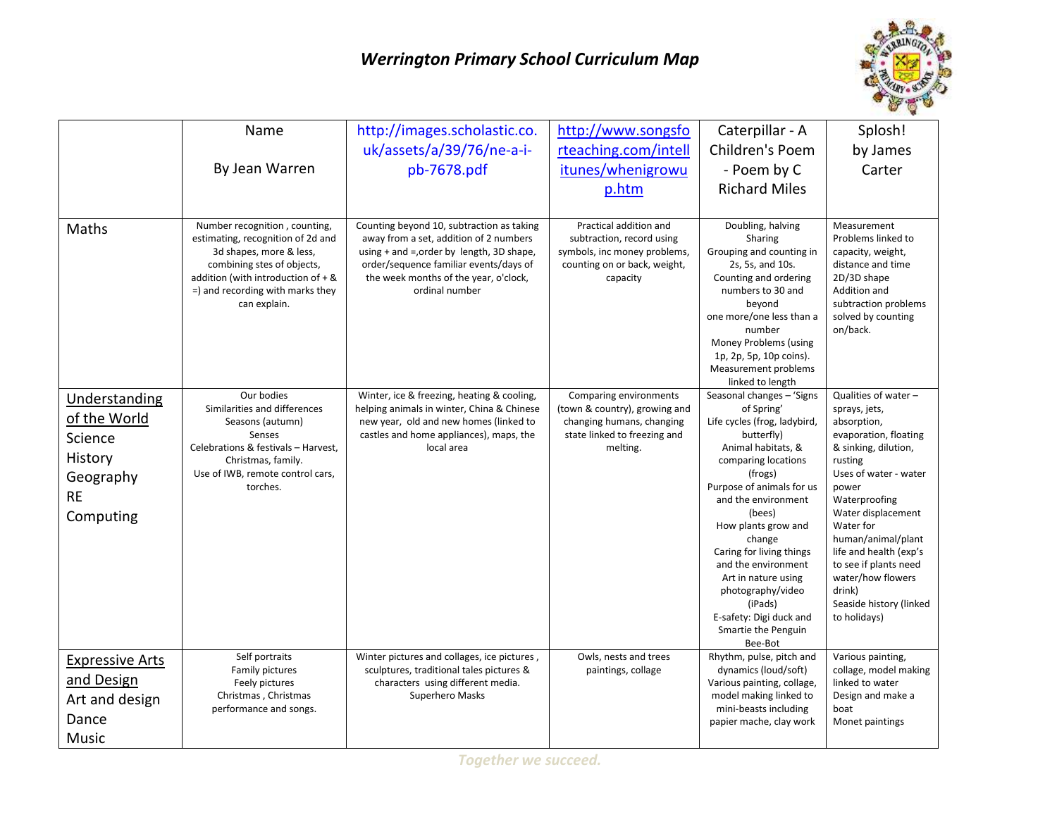## *Werrington Primary School Curriculum Map*



|                                                                                            | Name<br>By Jean Warren                                                                                                                                                                                                  | http://images.scholastic.co.<br>uk/assets/a/39/76/ne-a-i-<br>pb-7678.pdf                                                                                                                                                                   | http://www.songsfo<br>rteaching.com/intell<br>itunes/whenigrowu<br>p.htm                                                         | Caterpillar - A<br>Children's Poem<br>- Poem by C<br><b>Richard Miles</b>                                                                                                                                                                                                                                                                                                                                           | Splosh!<br>by James<br>Carter                                                                                                                                                                                                                                                                                                                             |
|--------------------------------------------------------------------------------------------|-------------------------------------------------------------------------------------------------------------------------------------------------------------------------------------------------------------------------|--------------------------------------------------------------------------------------------------------------------------------------------------------------------------------------------------------------------------------------------|----------------------------------------------------------------------------------------------------------------------------------|---------------------------------------------------------------------------------------------------------------------------------------------------------------------------------------------------------------------------------------------------------------------------------------------------------------------------------------------------------------------------------------------------------------------|-----------------------------------------------------------------------------------------------------------------------------------------------------------------------------------------------------------------------------------------------------------------------------------------------------------------------------------------------------------|
| Maths                                                                                      | Number recognition, counting,<br>estimating, recognition of 2d and<br>3d shapes, more & less,<br>combining stes of objects,<br>addition (with introduction of $+$ &<br>=) and recording with marks they<br>can explain. | Counting beyond 10, subtraction as taking<br>away from a set, addition of 2 numbers<br>using $+$ and $=$ , order by length, 3D shape,<br>order/sequence familiar events/days of<br>the week months of the year, o'clock,<br>ordinal number | Practical addition and<br>subtraction, record using<br>symbols, inc money problems,<br>counting on or back, weight,<br>capacity  | Doubling, halving<br>Sharing<br>Grouping and counting in<br>2s, 5s, and 10s.<br>Counting and ordering<br>numbers to 30 and<br>beyond<br>one more/one less than a<br>number<br>Money Problems (using<br>1p, 2p, 5p, 10p coins).<br>Measurement problems<br>linked to length                                                                                                                                          | Measurement<br>Problems linked to<br>capacity, weight,<br>distance and time<br>2D/3D shape<br>Addition and<br>subtraction problems<br>solved by counting<br>on/back.                                                                                                                                                                                      |
| Understanding<br>of the World<br>Science<br>History<br>Geography<br><b>RE</b><br>Computing | Our bodies<br>Similarities and differences<br>Seasons (autumn)<br>Senses<br>Celebrations & festivals - Harvest,<br>Christmas, family.<br>Use of IWB, remote control cars,<br>torches.                                   | Winter, ice & freezing, heating & cooling,<br>helping animals in winter, China & Chinese<br>new year, old and new homes (linked to<br>castles and home appliances), maps, the<br>local area                                                | Comparing environments<br>(town & country), growing and<br>changing humans, changing<br>state linked to freezing and<br>melting. | Seasonal changes - 'Signs<br>of Spring'<br>Life cycles (frog, ladybird,<br>butterfly)<br>Animal habitats, &<br>comparing locations<br>(frogs)<br>Purpose of animals for us<br>and the environment<br>(bees)<br>How plants grow and<br>change<br>Caring for living things<br>and the environment<br>Art in nature using<br>photography/video<br>(iPads)<br>E-safety: Digi duck and<br>Smartie the Penguin<br>Bee-Bot | Qualities of water -<br>sprays, jets,<br>absorption,<br>evaporation, floating<br>& sinking, dilution,<br>rusting<br>Uses of water - water<br>power<br>Waterproofing<br>Water displacement<br>Water for<br>human/animal/plant<br>life and health (exp's<br>to see if plants need<br>water/how flowers<br>drink)<br>Seaside history (linked<br>to holidays) |
| <b>Expressive Arts</b><br>and Design<br>Art and design<br>Dance<br><b>Music</b>            | Self portraits<br>Family pictures<br>Feely pictures<br>Christmas, Christmas<br>performance and songs.                                                                                                                   | Winter pictures and collages, ice pictures,<br>sculptures, traditional tales pictures &<br>characters using different media.<br>Superhero Masks                                                                                            | Owls, nests and trees<br>paintings, collage                                                                                      | Rhythm, pulse, pitch and<br>dynamics (loud/soft)<br>Various painting, collage,<br>model making linked to<br>mini-beasts including<br>papier mache, clay work                                                                                                                                                                                                                                                        | Various painting,<br>collage, model making<br>linked to water<br>Design and make a<br>boat<br>Monet paintings                                                                                                                                                                                                                                             |